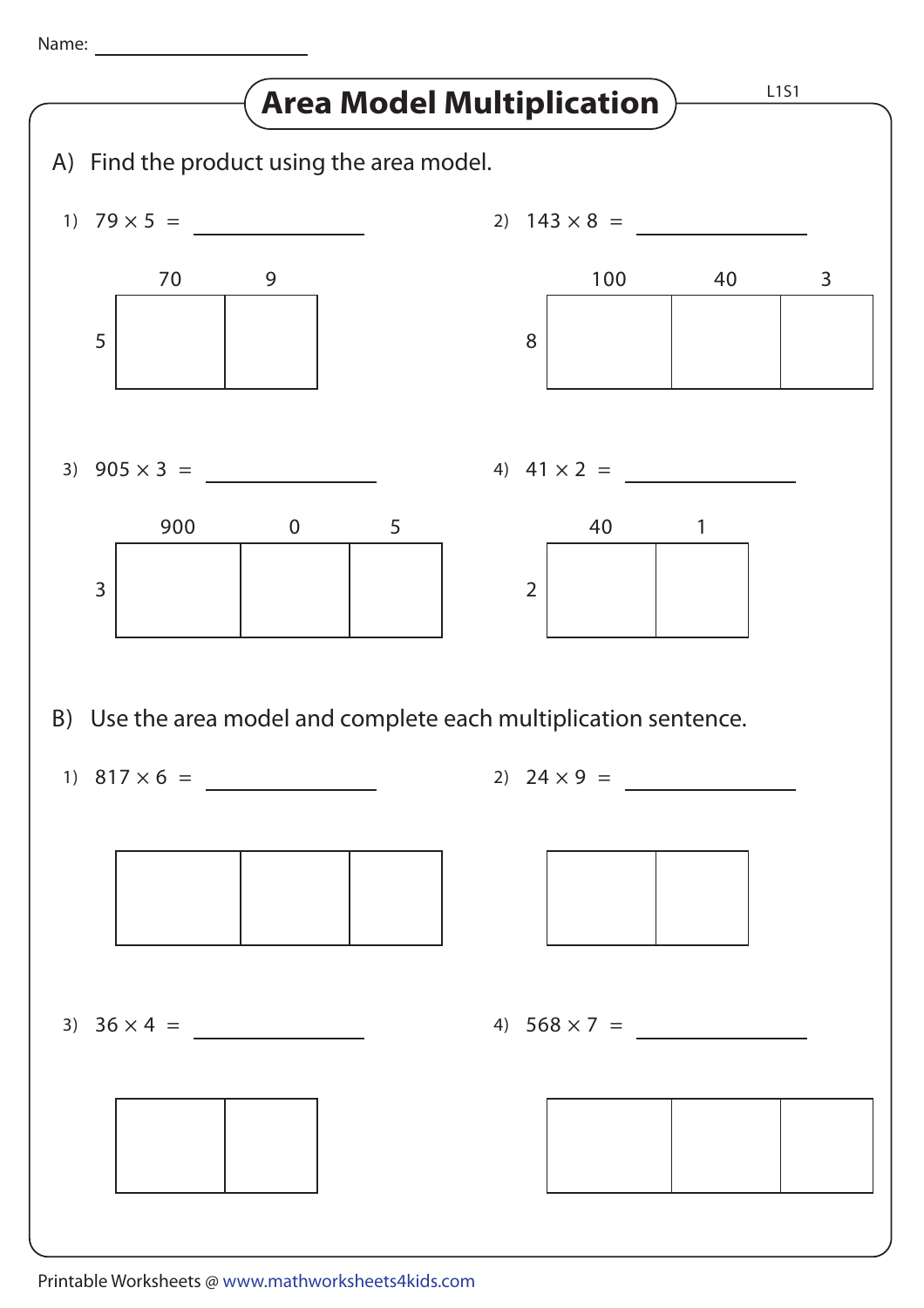Name: